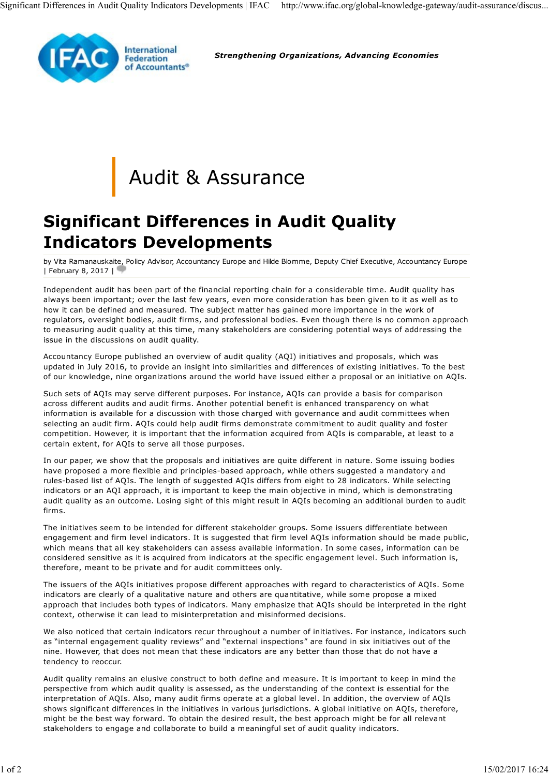

Strengthening Organizations, Advancing Economies

## Audit & Assurance

## Significant Differences in Audit Quality Indicators Developments

by Vita Ramanauskaite, Policy Advisor, Accountancy Europe and Hilde Blomme, Deputy Chief Executive, Accountancy Europe | February 8, 2017 |

Independent audit has been part of the financial reporting chain for a considerable time. Audit quality has always been important; over the last few years, even more consideration has been given to it as well as to how it can be defined and measured. The subject matter has gained more importance in the work of regulators, oversight bodies, audit firms, and professional bodies. Even though there is no common approach to measuring audit quality at this time, many stakeholders are considering potential ways of addressing the issue in the discussions on audit quality.

Accountancy Europe published an overview of audit quality (AQI) initiatives and proposals, which was updated in July 2016, to provide an insight into similarities and differences of existing initiatives. To the best of our knowledge, nine organizations around the world have issued either a proposal or an initiative on AQIs.

Such sets of AQIs may serve different purposes. For instance, AQIs can provide a basis for comparison across different audits and audit firms. Another potential benefit is enhanced transparency on what information is available for a discussion with those charged with governance and audit committees when selecting an audit firm. AQIs could help audit firms demonstrate commitment to audit quality and foster competition. However, it is important that the information acquired from AQIs is comparable, at least to a certain extent, for AQIs to serve all those purposes.

In our paper, we show that the proposals and initiatives are quite different in nature. Some issuing bodies have proposed a more flexible and principles-based approach, while others suggested a mandatory and rules-based list of AQIs. The length of suggested AQIs differs from eight to 28 indicators. While selecting indicators or an AQI approach, it is important to keep the main objective in mind, which is demonstrating audit quality as an outcome. Losing sight of this might result in AQIs becoming an additional burden to audit firms.

The initiatives seem to be intended for different stakeholder groups. Some issuers differentiate between engagement and firm level indicators. It is suggested that firm level AQIs information should be made public, which means that all key stakeholders can assess available information. In some cases, information can be considered sensitive as it is acquired from indicators at the specific engagement level. Such information is, therefore, meant to be private and for audit committees only.

The issuers of the AQIs initiatives propose different approaches with regard to characteristics of AQIs. Some indicators are clearly of a qualitative nature and others are quantitative, while some propose a mixed approach that includes both types of indicators. Many emphasize that AQIs should be interpreted in the right context, otherwise it can lead to misinterpretation and misinformed decisions.

We also noticed that certain indicators recur throughout a number of initiatives. For instance, indicators such as "internal engagement quality reviews" and "external inspections" are found in six initiatives out of the nine. However, that does not mean that these indicators are any better than those that do not have a tendency to reoccur.

Audit quality remains an elusive construct to both define and measure. It is important to keep in mind the perspective from which audit quality is assessed, as the understanding of the context is essential for the interpretation of AQIs. Also, many audit firms operate at a global level. In addition, the overview of AQIs shows significant differences in the initiatives in various jurisdictions. A global initiative on AQIs, therefore, might be the best way forward. To obtain the desired result, the best approach might be for all relevant stakeholders to engage and collaborate to build a meaningful set of audit quality indicators. engagement and firm level indicators. It is suggested that firm level AQIs information should be made public,<br>which means that all key stakeholders can assess available information. In some cases, information is<br>considered